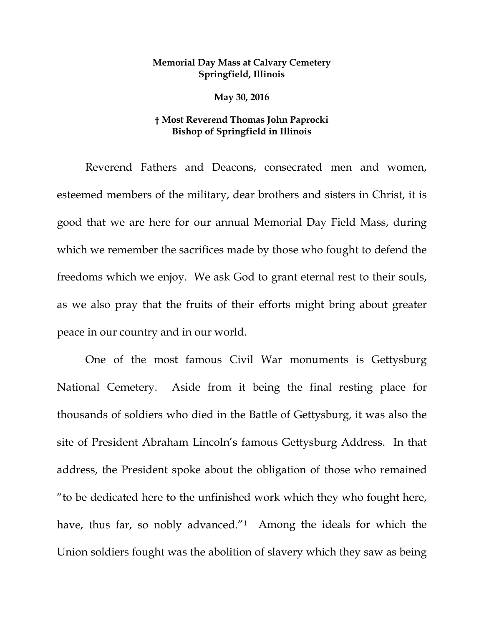## **Memorial Day Mass at Calvary Cemetery Springfield, Illinois**

**May 30, 2016**

## **† Most Reverend Thomas John Paprocki Bishop of Springfield in Illinois**

Reverend Fathers and Deacons, consecrated men and women, esteemed members of the military, dear brothers and sisters in Christ, it is good that we are here for our annual Memorial Day Field Mass, during which we remember the sacrifices made by those who fought to defend the freedoms which we enjoy. We ask God to grant eternal rest to their souls, as we also pray that the fruits of their efforts might bring about greater peace in our country and in our world.

One of the most famous Civil War monuments is Gettysburg National Cemetery. Aside from it being the final resting place for thousands of soldiers who died in the Battle of Gettysburg, it was also the site of President Abraham Lincoln's famous Gettysburg Address. In that address, the President spoke about the obligation of those who remained "to be dedicated here to the unfinished work which they who fought here, have, thus far, so nobly advanced."<sup>1</sup> Among the ideals for which the Union soldiers fought was the abolition of slavery which they saw as being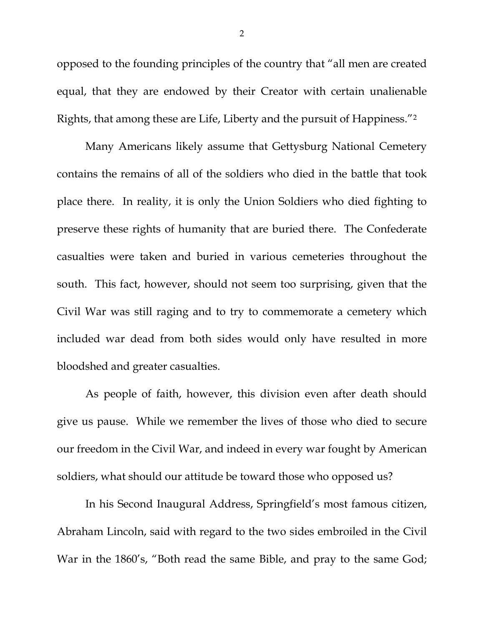opposed to the founding principles of the country that "all men are created equal, that they are endowed by their Creator with certain unalienable Rights, that among these are Life, Liberty and the pursuit of Happiness."[2](#page-5-1)

Many Americans likely assume that Gettysburg National Cemetery contains the remains of all of the soldiers who died in the battle that took place there. In reality, it is only the Union Soldiers who died fighting to preserve these rights of humanity that are buried there. The Confederate casualties were taken and buried in various cemeteries throughout the south. This fact, however, should not seem too surprising, given that the Civil War was still raging and to try to commemorate a cemetery which included war dead from both sides would only have resulted in more bloodshed and greater casualties.

As people of faith, however, this division even after death should give us pause. While we remember the lives of those who died to secure our freedom in the Civil War, and indeed in every war fought by American soldiers, what should our attitude be toward those who opposed us?

In his Second Inaugural Address, Springfield's most famous citizen, Abraham Lincoln, said with regard to the two sides embroiled in the Civil War in the 1860's, "Both read the same Bible, and pray to the same God;

2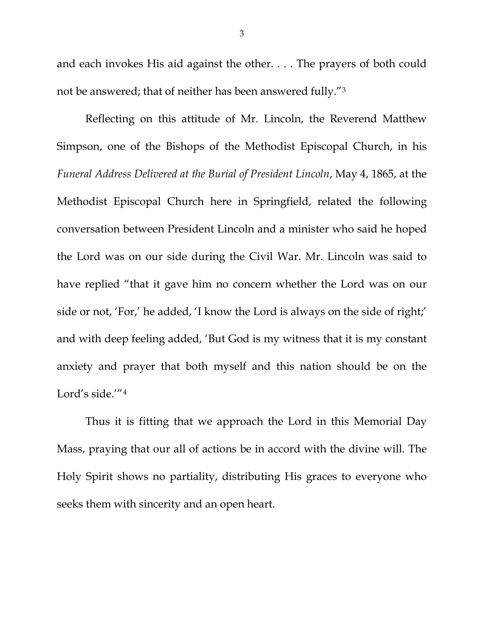and each invokes His aid against the other. . . . The prayers of both could not be answered; that of neither has been answered fully."[3](#page-5-2)

Reflecting on this attitude of Mr. Lincoln, the Reverend Matthew Simpson, one of the Bishops of the Methodist Episcopal Church, in his *Funeral Address Delivered at the Burial of President Lincoln*, May 4, 1865, at the Methodist Episcopal Church here in Springfield, related the following conversation between President Lincoln and a minister who said he hoped the Lord was on our side during the Civil War. Mr. Lincoln was said to have replied "that it gave him no concern whether the Lord was on our side or not, 'For,' he added, 'I know the Lord is always on the side of right;' and with deep feeling added, 'But God is my witness that it is my constant anxiety and prayer that both myself and this nation should be on the Lord's side.'"[4](#page-5-3)

Thus it is fitting that we approach the Lord in this Memorial Day Mass, praying that our all of actions be in accord with the divine will. The Holy Spirit shows no partiality, distributing His graces to everyone who seeks them with sincerity and an open heart.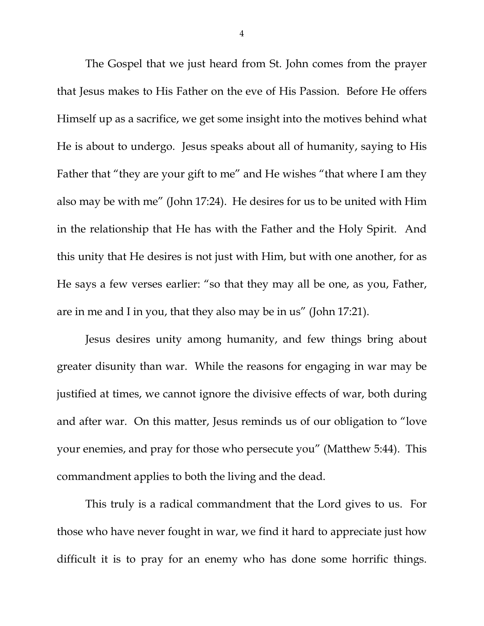The Gospel that we just heard from St. John comes from the prayer that Jesus makes to His Father on the eve of His Passion. Before He offers Himself up as a sacrifice, we get some insight into the motives behind what He is about to undergo. Jesus speaks about all of humanity, saying to His Father that "they are your gift to me" and He wishes "that where I am they also may be with me" (John 17:24). He desires for us to be united with Him in the relationship that He has with the Father and the Holy Spirit. And this unity that He desires is not just with Him, but with one another, for as He says a few verses earlier: "so that they may all be one, as you, Father, are in me and I in you, that they also may be in us" (John 17:21).

Jesus desires unity among humanity, and few things bring about greater disunity than war. While the reasons for engaging in war may be justified at times, we cannot ignore the divisive effects of war, both during and after war. On this matter, Jesus reminds us of our obligation to "love your enemies, and pray for those who persecute you" (Matthew 5:44). This commandment applies to both the living and the dead.

This truly is a radical commandment that the Lord gives to us. For those who have never fought in war, we find it hard to appreciate just how difficult it is to pray for an enemy who has done some horrific things.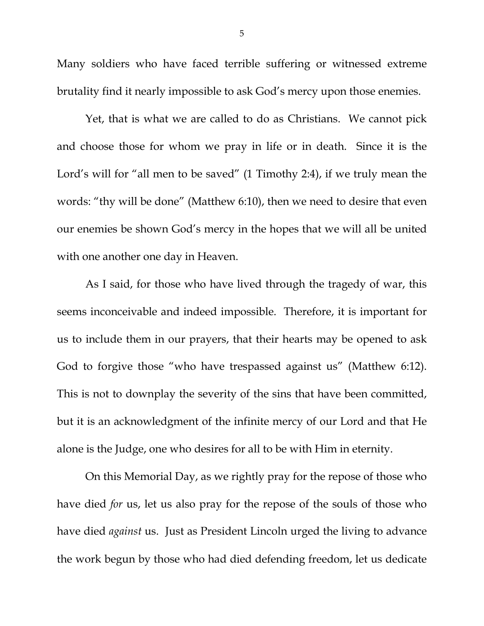Many soldiers who have faced terrible suffering or witnessed extreme brutality find it nearly impossible to ask God's mercy upon those enemies.

Yet, that is what we are called to do as Christians. We cannot pick and choose those for whom we pray in life or in death. Since it is the Lord's will for "all men to be saved" (1 Timothy 2:4), if we truly mean the words: "thy will be done" (Matthew 6:10), then we need to desire that even our enemies be shown God's mercy in the hopes that we will all be united with one another one day in Heaven.

As I said, for those who have lived through the tragedy of war, this seems inconceivable and indeed impossible. Therefore, it is important for us to include them in our prayers, that their hearts may be opened to ask God to forgive those "who have trespassed against us" (Matthew 6:12). This is not to downplay the severity of the sins that have been committed, but it is an acknowledgment of the infinite mercy of our Lord and that He alone is the Judge, one who desires for all to be with Him in eternity.

On this Memorial Day, as we rightly pray for the repose of those who have died *for* us, let us also pray for the repose of the souls of those who have died *against* us. Just as President Lincoln urged the living to advance the work begun by those who had died defending freedom, let us dedicate